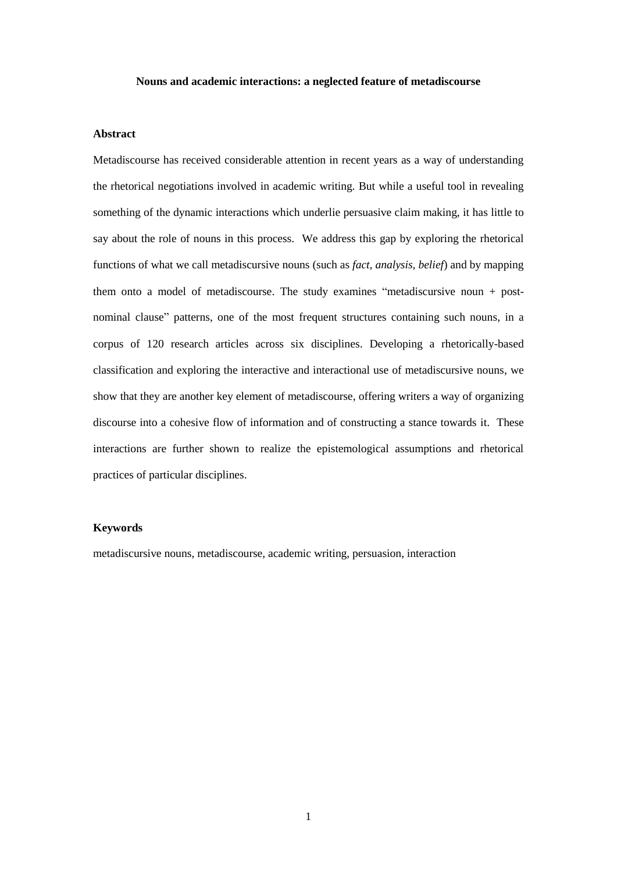#### **Nouns and academic interactions: a neglected feature of metadiscourse**

# **Abstract**

Metadiscourse has received considerable attention in recent years as a way of understanding the rhetorical negotiations involved in academic writing. But while a useful tool in revealing something of the dynamic interactions which underlie persuasive claim making, it has little to say about the role of nouns in this process. We address this gap by exploring the rhetorical functions of what we call metadiscursive nouns (such as *fact*, *analysis*, *belief*) and by mapping them onto a model of metadiscourse. The study examines "metadiscursive noun + postnominal clause" patterns, one of the most frequent structures containing such nouns, in a corpus of 120 research articles across six disciplines. Developing a rhetorically-based classification and exploring the interactive and interactional use of metadiscursive nouns, we show that they are another key element of metadiscourse, offering writers a way of organizing discourse into a cohesive flow of information and of constructing a stance towards it. These interactions are further shown to realize the epistemological assumptions and rhetorical practices of particular disciplines.

# **Keywords**

metadiscursive nouns, metadiscourse, academic writing, persuasion, interaction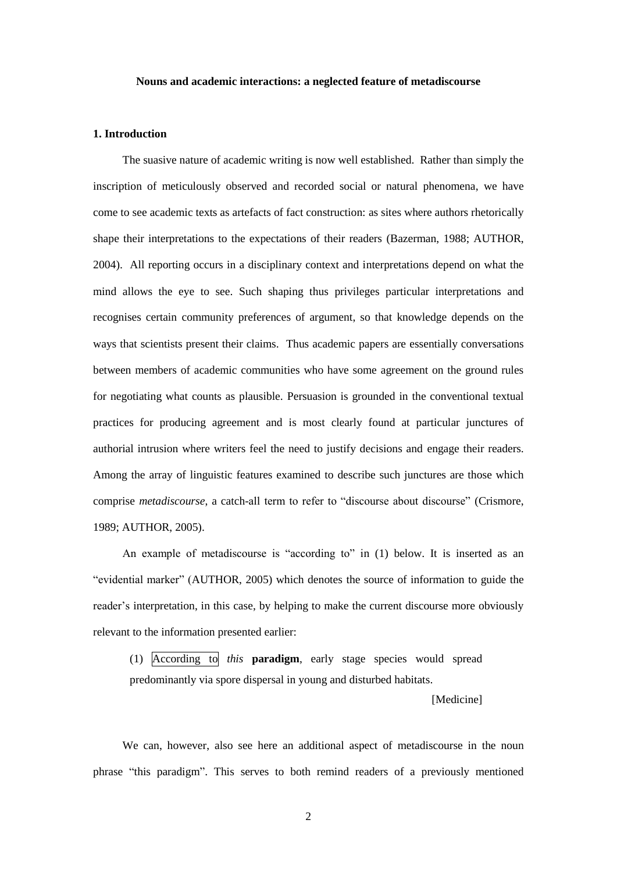### **Nouns and academic interactions: a neglected feature of metadiscourse**

# **1. Introduction**

The suasive nature of academic writing is now well established. Rather than simply the inscription of meticulously observed and recorded social or natural phenomena, we have come to see academic texts as artefacts of fact construction: as sites where authors rhetorically shape their interpretations to the expectations of their readers (Bazerman, 1988; AUTHOR, 2004). All reporting occurs in a disciplinary context and interpretations depend on what the mind allows the eye to see. Such shaping thus privileges particular interpretations and recognises certain community preferences of argument, so that knowledge depends on the ways that scientists present their claims. Thus academic papers are essentially conversations between members of academic communities who have some agreement on the ground rules for negotiating what counts as plausible. Persuasion is grounded in the conventional textual practices for producing agreement and is most clearly found at particular junctures of authorial intrusion where writers feel the need to justify decisions and engage their readers. Among the array of linguistic features examined to describe such junctures are those which comprise *metadiscourse*, a catch-all term to refer to "discourse about discourse" (Crismore, 1989; AUTHOR, 2005).

An example of metadiscourse is "according to" in (1) below. It is inserted as an "evidential marker" (AUTHOR, 2005) which denotes the source of information to guide the reader's interpretation, in this case, by helping to make the current discourse more obviously relevant to the information presented earlier:

(1) According to *this* **paradigm**, early stage species would spread predominantly via spore dispersal in young and disturbed habitats.

# [Medicine]

We can, however, also see here an additional aspect of metadiscourse in the noun phrase "this paradigm". This serves to both remind readers of a previously mentioned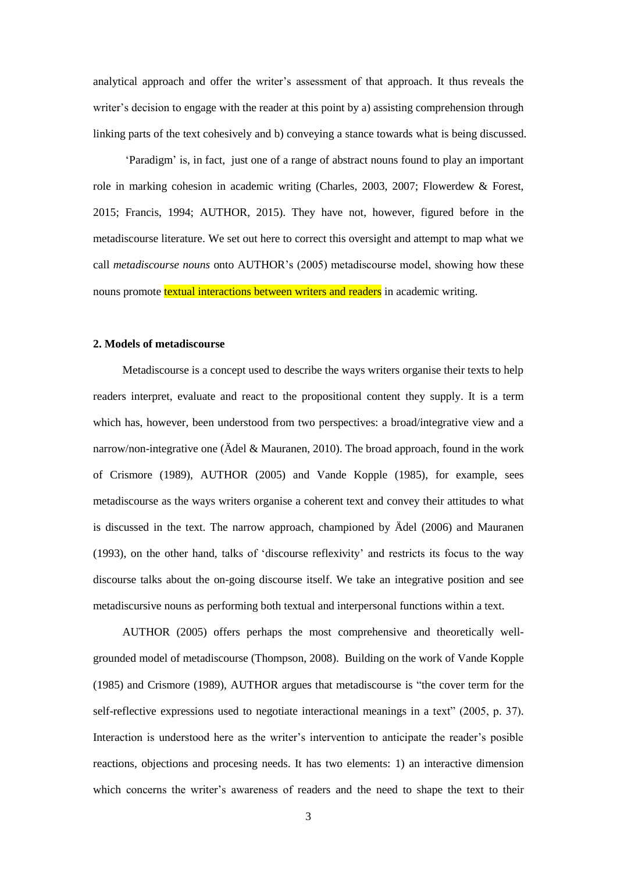analytical approach and offer the writer's assessment of that approach. It thus reveals the writer's decision to engage with the reader at this point by a) assisting comprehension through linking parts of the text cohesively and b) conveying a stance towards what is being discussed.

'Paradigm' is, in fact, just one of a range of abstract nouns found to play an important role in marking cohesion in academic writing (Charles, 2003, 2007; Flowerdew & Forest, 2015; Francis, 1994; AUTHOR, 2015). They have not, however, figured before in the metadiscourse literature. We set out here to correct this oversight and attempt to map what we call *metadiscourse nouns* onto AUTHOR's (2005) metadiscourse model, showing how these nouns promote textual interactions between writers and readers in academic writing.

## **2. Models of metadiscourse**

Metadiscourse is a concept used to describe the ways writers organise their texts to help readers interpret, evaluate and react to the propositional content they supply. It is a term which has, however, been understood from two perspectives: a broad/integrative view and a narrow/non-integrative one (Ädel & Mauranen, 2010). The broad approach, found in the work of Crismore (1989), AUTHOR (2005) and Vande Kopple (1985), for example, sees metadiscourse as the ways writers organise a coherent text and convey their attitudes to what is discussed in the text. The narrow approach, championed by Ädel (2006) and Mauranen (1993), on the other hand, talks of 'discourse reflexivity' and restricts its focus to the way discourse talks about the on-going discourse itself. We take an integrative position and see metadiscursive nouns as performing both textual and interpersonal functions within a text.

AUTHOR (2005) offers perhaps the most comprehensive and theoretically wellgrounded model of metadiscourse (Thompson, 2008). Building on the work of Vande Kopple (1985) and Crismore (1989), AUTHOR argues that metadiscourse is "the cover term for the self-reflective expressions used to negotiate interactional meanings in a text" (2005, p. 37). Interaction is understood here as the writer's intervention to anticipate the reader's posible reactions, objections and procesing needs. It has two elements: 1) an interactive dimension which concerns the writer's awareness of readers and the need to shape the text to their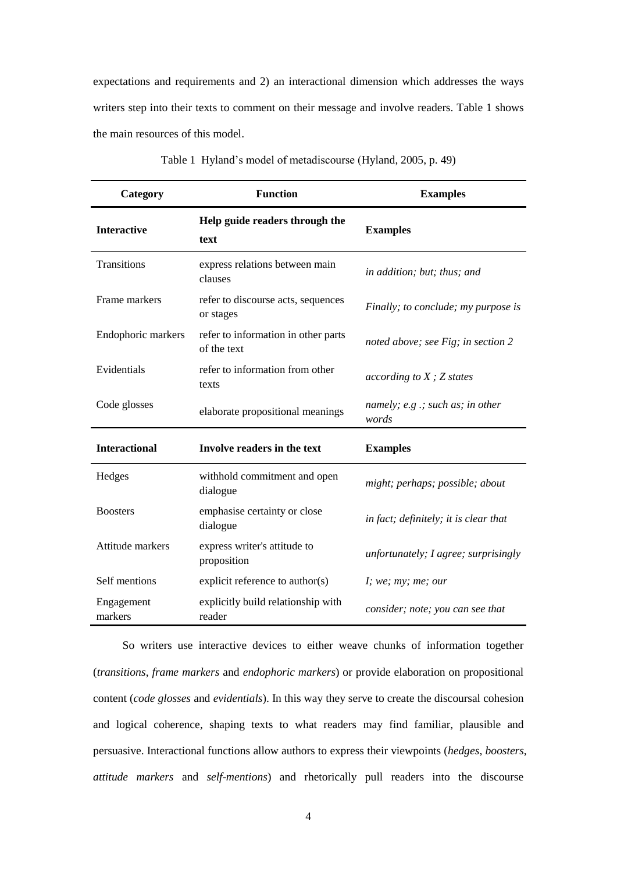expectations and requirements and 2) an interactional dimension which addresses the ways writers step into their texts to comment on their message and involve readers. Table 1 shows the main resources of this model.

| Category              | <b>Function</b>                                    | <b>Examples</b>                             |  |  |
|-----------------------|----------------------------------------------------|---------------------------------------------|--|--|
| <b>Interactive</b>    | Help guide readers through the<br>text             | <b>Examples</b>                             |  |  |
| Transitions           | express relations between main<br>clauses          | in addition; but; thus; and                 |  |  |
| Frame markers         | refer to discourse acts, sequences<br>or stages    | Finally; to conclude; my purpose is         |  |  |
| Endophoric markers    | refer to information in other parts<br>of the text | noted above; see Fig; in section 2          |  |  |
| Evidentials           | refer to information from other<br>texts           | according to $X$ ; $Z$ states               |  |  |
| Code glosses          | elaborate propositional meanings                   | namely; $e.g.$ ; such as; in other<br>words |  |  |
| <b>Interactional</b>  | Involve readers in the text                        | <b>Examples</b>                             |  |  |
| Hedges                | withhold commitment and open<br>dialogue           | might; perhaps; possible; about             |  |  |
| <b>Boosters</b>       | emphasise certainty or close<br>dialogue           | in fact; definitely; it is clear that       |  |  |
| Attitude markers      | express writer's attitude to<br>proposition        | unfortunately; I agree; surprisingly        |  |  |
| Self mentions         | explicit reference to author(s)                    | I; we; my; me; our                          |  |  |
| Engagement<br>markers | explicitly build relationship with<br>reader       | consider; note; you can see that            |  |  |

Table 1 Hyland's model of metadiscourse (Hyland, 2005, p. 49)

So writers use interactive devices to either weave chunks of information together (*transitions*, *frame markers* and *endophoric markers*) or provide elaboration on propositional content (*code glosses* and *evidentials*). In this way they serve to create the discoursal cohesion and logical coherence, shaping texts to what readers may find familiar, plausible and persuasive. Interactional functions allow authors to express their viewpoints (*hedges*, *boosters*, *attitude markers* and *self*-*mentions*) and rhetorically pull readers into the discourse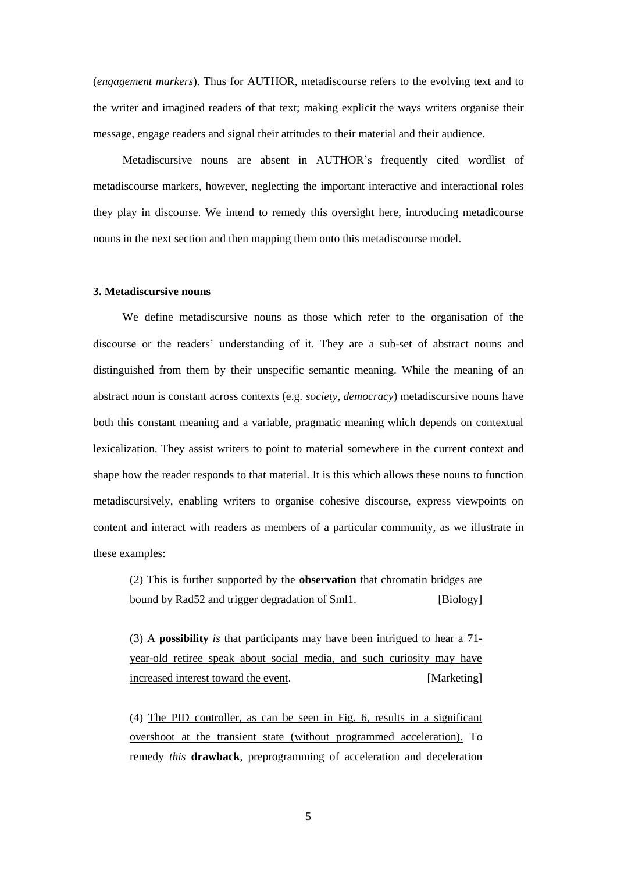(*engagement markers*). Thus for AUTHOR, metadiscourse refers to the evolving text and to the writer and imagined readers of that text; making explicit the ways writers organise their message, engage readers and signal their attitudes to their material and their audience.

Metadiscursive nouns are absent in AUTHOR's frequently cited wordlist of metadiscourse markers, however, neglecting the important interactive and interactional roles they play in discourse. We intend to remedy this oversight here, introducing metadicourse nouns in the next section and then mapping them onto this metadiscourse model.

# **3. Metadiscursive nouns**

We define metadiscursive nouns as those which refer to the organisation of the discourse or the readers' understanding of it. They are a sub-set of abstract nouns and distinguished from them by their unspecific semantic meaning. While the meaning of an abstract noun is constant across contexts (e.g. *society*, *democracy*) metadiscursive nouns have both this constant meaning and a variable, pragmatic meaning which depends on contextual lexicalization. They assist writers to point to material somewhere in the current context and shape how the reader responds to that material. It is this which allows these nouns to function metadiscursively, enabling writers to organise cohesive discourse, express viewpoints on content and interact with readers as members of a particular community, as we illustrate in these examples:

(2) This is further supported by the **observation** that chromatin bridges are bound by Rad52 and trigger degradation of Sml1. [Biology]

(3) A **possibility** *is* that participants may have been intrigued to hear a 71 year-old retiree speak about social media, and such curiosity may have increased interest toward the event. [Marketing]

(4) The PID controller, as can be seen in Fig. 6, results in a significant overshoot at the transient state (without programmed acceleration). To remedy *this* **drawback**, preprogramming of acceleration and deceleration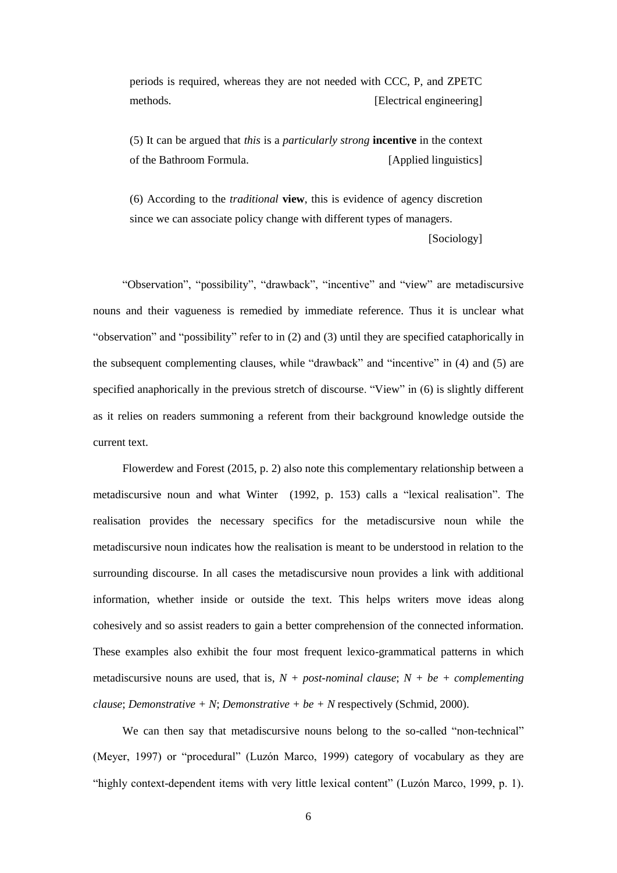periods is required, whereas they are not needed with CCC, P, and ZPETC methods. [Electrical engineering]

(5) It can be argued that *this* is a *particularly strong* **incentive** in the context of the Bathroom Formula. [Applied linguistics]

(6) According to the *traditional* **view**, this is evidence of agency discretion since we can associate policy change with different types of managers.

[Sociology]

"Observation", "possibility", "drawback", "incentive" and "view" are metadiscursive nouns and their vagueness is remedied by immediate reference. Thus it is unclear what "observation" and "possibility" refer to in (2) and (3) until they are specified cataphorically in the subsequent complementing clauses, while "drawback" and "incentive" in (4) and (5) are specified anaphorically in the previous stretch of discourse. "View" in (6) is slightly different as it relies on readers summoning a referent from their background knowledge outside the current text.

Flowerdew and Forest (2015, p. 2) also note this complementary relationship between a metadiscursive noun and what Winter (1992, p. 153) calls a "lexical realisation". The realisation provides the necessary specifics for the metadiscursive noun while the metadiscursive noun indicates how the realisation is meant to be understood in relation to the surrounding discourse. In all cases the metadiscursive noun provides a link with additional information, whether inside or outside the text. This helps writers move ideas along cohesively and so assist readers to gain a better comprehension of the connected information. These examples also exhibit the four most frequent lexico-grammatical patterns in which metadiscursive nouns are used, that is,  $N + post-normal$  *clause*;  $N + be + complementing$ *clause*; *Demonstrative*  $+ N$ ; *Demonstrative*  $+ be + N$  respectively (Schmid, 2000).

We can then say that metadiscursive nouns belong to the so-called "non-technical" (Meyer, 1997) or "procedural" (Luzón Marco, 1999) category of vocabulary as they are "highly context-dependent items with very little lexical content" (Luzón Marco, 1999, p. 1).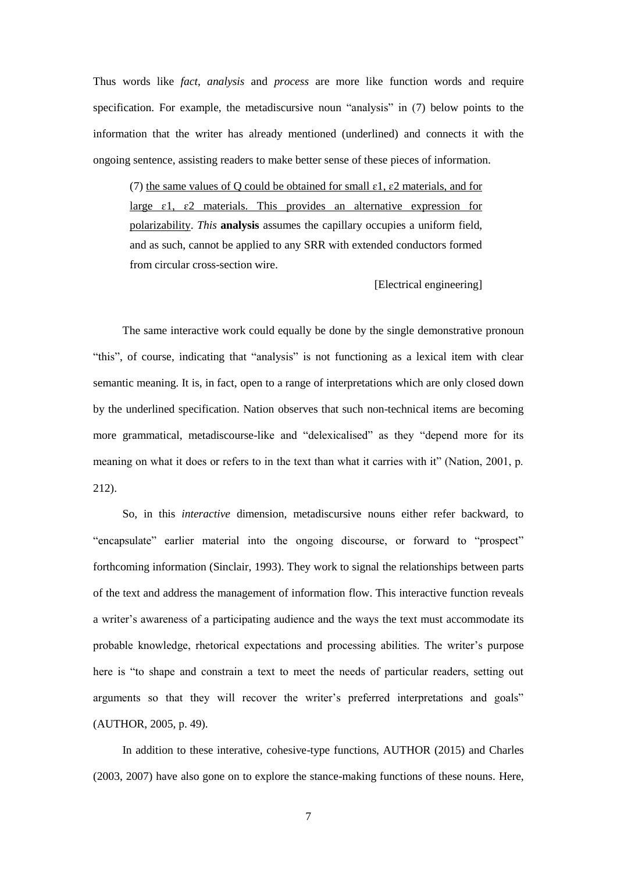Thus words like *fact*, *analysis* and *process* are more like function words and require specification. For example, the metadiscursive noun "analysis" in (7) below points to the information that the writer has already mentioned (underlined) and connects it with the ongoing sentence, assisting readers to make better sense of these pieces of information.

(7) the same values of Q could be obtained for small  $\varepsilon$ 1,  $\varepsilon$ 2 materials, and for large  $\varepsilon$ 1,  $\varepsilon$ 2 materials. This provides an alternative expression for polarizability. *This* **analysis** assumes the capillary occupies a uniform field, and as such, cannot be applied to any SRR with extended conductors formed from circular cross-section wire.

[Electrical engineering]

The same interactive work could equally be done by the single demonstrative pronoun "this", of course, indicating that "analysis" is not functioning as a lexical item with clear semantic meaning. It is, in fact, open to a range of interpretations which are only closed down by the underlined specification. Nation observes that such non-technical items are becoming more grammatical, metadiscourse-like and "delexicalised" as they "depend more for its meaning on what it does or refers to in the text than what it carries with it" (Nation, 2001, p. 212).

So, in this *interactive* dimension, metadiscursive nouns either refer backward, to "encapsulate" earlier material into the ongoing discourse, or forward to "prospect" forthcoming information (Sinclair, 1993). They work to signal the relationships between parts of the text and address the management of information flow. This interactive function reveals a writer's awareness of a participating audience and the ways the text must accommodate its probable knowledge, rhetorical expectations and processing abilities. The writer's purpose here is "to shape and constrain a text to meet the needs of particular readers, setting out arguments so that they will recover the writer's preferred interpretations and goals" (AUTHOR, 2005, p. 49).

In addition to these interative, cohesive-type functions, AUTHOR (2015) and Charles (2003, 2007) have also gone on to explore the stance-making functions of these nouns. Here,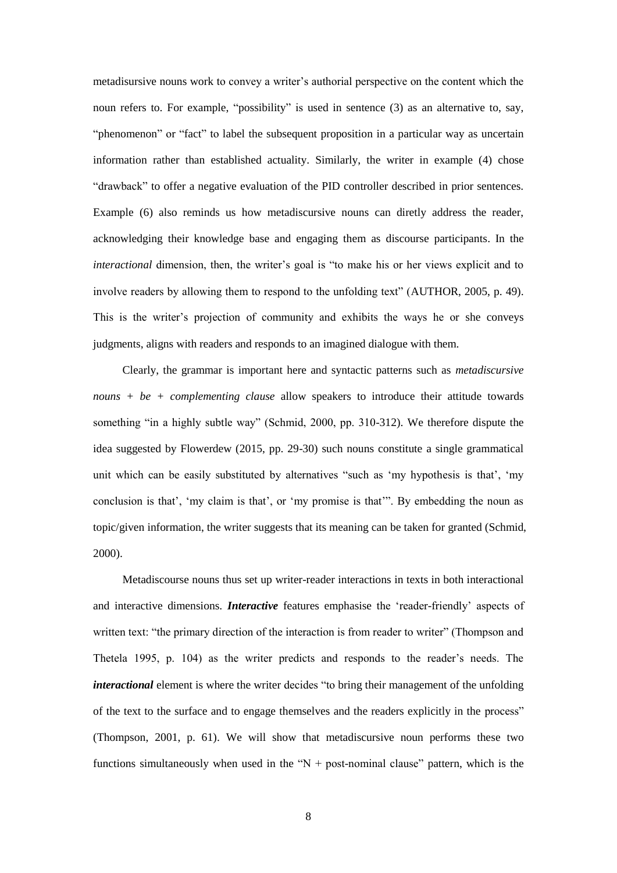metadisursive nouns work to convey a writer's authorial perspective on the content which the noun refers to. For example, "possibility" is used in sentence (3) as an alternative to, say, "phenomenon" or "fact" to label the subsequent proposition in a particular way as uncertain information rather than established actuality. Similarly, the writer in example (4) chose "drawback" to offer a negative evaluation of the PID controller described in prior sentences. Example (6) also reminds us how metadiscursive nouns can diretly address the reader, acknowledging their knowledge base and engaging them as discourse participants. In the *interactional* dimension, then, the writer's goal is "to make his or her views explicit and to involve readers by allowing them to respond to the unfolding text" (AUTHOR, 2005, p. 49). This is the writer's projection of community and exhibits the ways he or she conveys judgments, aligns with readers and responds to an imagined dialogue with them.

Clearly, the grammar is important here and syntactic patterns such as *metadiscursive nouns + be + complementing clause* allow speakers to introduce their attitude towards something "in a highly subtle way" (Schmid, 2000, pp. 310-312). We therefore dispute the idea suggested by Flowerdew (2015, pp. 29-30) such nouns constitute a single grammatical unit which can be easily substituted by alternatives "such as 'my hypothesis is that', 'my conclusion is that', 'my claim is that', or 'my promise is that'". By embedding the noun as topic/given information, the writer suggests that its meaning can be taken for granted (Schmid, 2000).

Metadiscourse nouns thus set up writer-reader interactions in texts in both interactional and interactive dimensions. *Interactive* features emphasise the 'reader-friendly' aspects of written text: "the primary direction of the interaction is from reader to writer" (Thompson and Thetela 1995, p. 104) as the writer predicts and responds to the reader's needs. The *interactional* element is where the writer decides "to bring their management of the unfolding of the text to the surface and to engage themselves and the readers explicitly in the process" (Thompson, 2001, p. 61). We will show that metadiscursive noun performs these two functions simultaneously when used in the " $N +$  post-nominal clause" pattern, which is the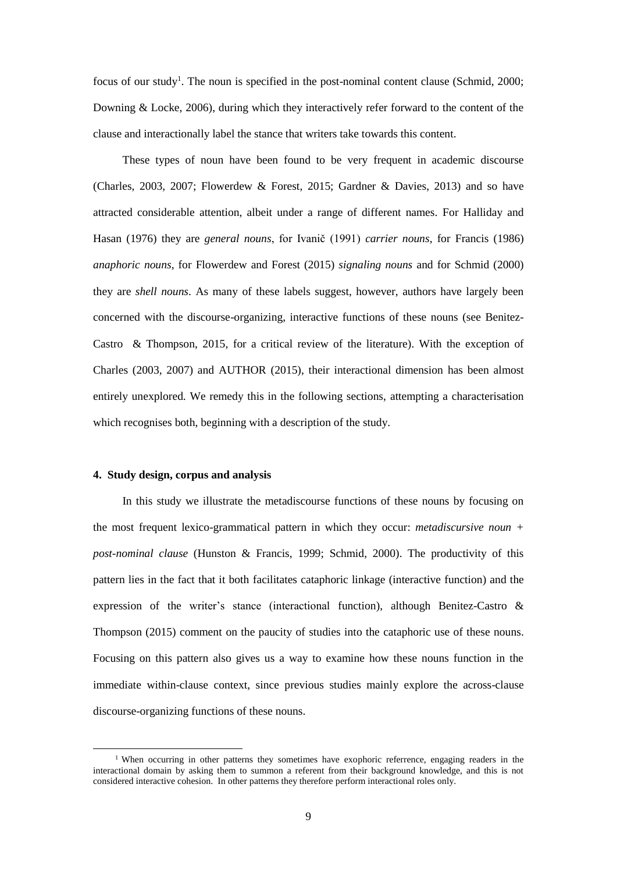focus of our study<sup>1</sup>. The noun is specified in the post-nominal content clause (Schmid, 2000; Downing & Locke, 2006), during which they interactively refer forward to the content of the clause and interactionally label the stance that writers take towards this content.

These types of noun have been found to be very frequent in academic discourse (Charles, 2003, 2007; Flowerdew & Forest, 2015; Gardner & Davies, 2013) and so have attracted considerable attention, albeit under a range of different names. For Halliday and Hasan (1976) they are *general nouns*, for Ivanič (1991) *carrier nouns*, for Francis (1986) *anaphoric nouns*, for Flowerdew and Forest (2015) *signaling nouns* and for Schmid (2000) they are *shell nouns*. As many of these labels suggest, however, authors have largely been concerned with the discourse-organizing, interactive functions of these nouns (see Benitez-Castro & Thompson, 2015, for a critical review of the literature). With the exception of Charles (2003, 2007) and AUTHOR (2015), their interactional dimension has been almost entirely unexplored. We remedy this in the following sections, attempting a characterisation which recognises both, beginning with a description of the study.

# **4. Study design, corpus and analysis**

l

In this study we illustrate the metadiscourse functions of these nouns by focusing on the most frequent lexico-grammatical pattern in which they occur: *metadiscursive noun + post-nominal clause* (Hunston & Francis, 1999; Schmid, 2000). The productivity of this pattern lies in the fact that it both facilitates cataphoric linkage (interactive function) and the expression of the writer's stance (interactional function), although Benitez-Castro & Thompson (2015) comment on the paucity of studies into the cataphoric use of these nouns. Focusing on this pattern also gives us a way to examine how these nouns function in the immediate within-clause context, since previous studies mainly explore the across-clause discourse-organizing functions of these nouns.

<sup>&</sup>lt;sup>1</sup> When occurring in other patterns they sometimes have exophoric referrence, engaging readers in the interactional domain by asking them to summon a referent from their background knowledge, and this is not considered interactive cohesion. In other patterns they therefore perform interactional roles only.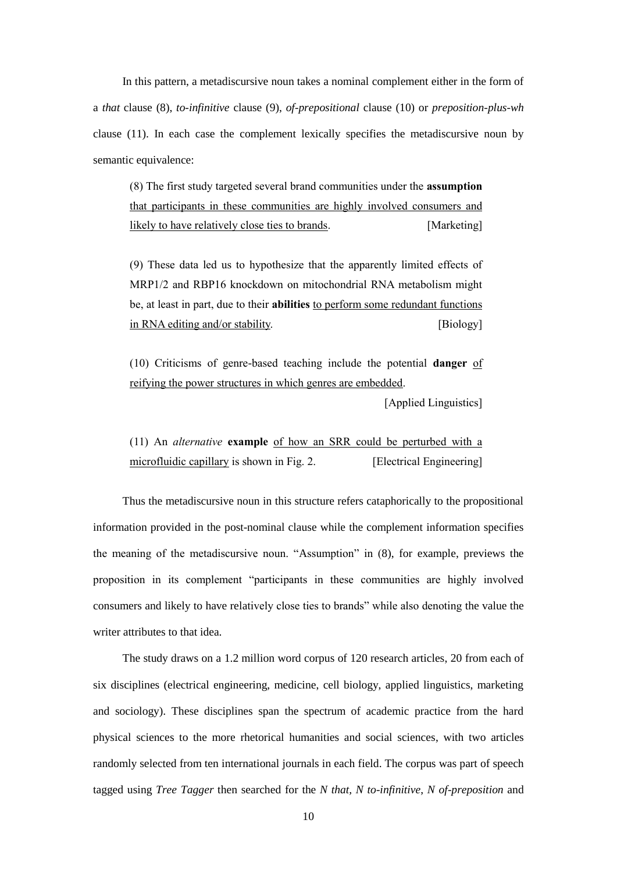In this pattern, a metadiscursive noun takes a nominal complement either in the form of a *that* clause (8), *to-infinitive* clause (9), *of-prepositional* clause (10) or *preposition-plus-wh* clause (11). In each case the complement lexically specifies the metadiscursive noun by semantic equivalence:

(8) The first study targeted several brand communities under the **assumption** that participants in these communities are highly involved consumers and likely to have relatively close ties to brands. [Marketing]

(9) These data led us to hypothesize that the apparently limited effects of MRP1/2 and RBP16 knockdown on mitochondrial RNA metabolism might be, at least in part, due to their **abilities** to perform some redundant functions in RNA editing and/or stability. [Biology]

(10) Criticisms of genre-based teaching include the potential **danger** of reifying the power structures in which genres are embedded.

[Applied Linguistics]

(11) An *alternative* **example** of how an SRR could be perturbed with a microfluidic capillary is shown in Fig. 2. [Electrical Engineering]

Thus the metadiscursive noun in this structure refers cataphorically to the propositional information provided in the post-nominal clause while the complement information specifies the meaning of the metadiscursive noun. "Assumption" in (8), for example, previews the proposition in its complement "participants in these communities are highly involved consumers and likely to have relatively close ties to brands" while also denoting the value the writer attributes to that idea

The study draws on a 1.2 million word corpus of 120 research articles, 20 from each of six disciplines (electrical engineering, medicine, cell biology, applied linguistics, marketing and sociology). These disciplines span the spectrum of academic practice from the hard physical sciences to the more rhetorical humanities and social sciences, with two articles randomly selected from ten international journals in each field. The corpus was part of speech tagged using *Tree Tagger* then searched for the *N that, N to-infinitive*, *N of-preposition* and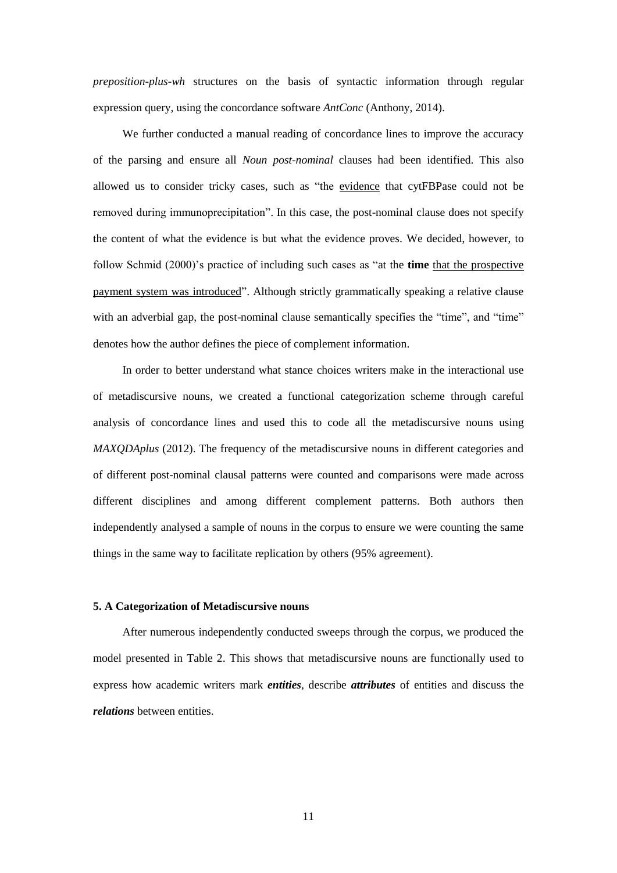*preposition-plus-wh* structures on the basis of syntactic information through regular expression query, using the concordance software *AntConc* (Anthony, 2014).

We further conducted a manual reading of concordance lines to improve the accuracy of the parsing and ensure all *Noun post-nominal* clauses had been identified. This also allowed us to consider tricky cases, such as "the evidence that cytFBPase could not be removed during immunoprecipitation". In this case, the post-nominal clause does not specify the content of what the evidence is but what the evidence proves. We decided, however, to follow Schmid (2000)'s practice of including such cases as "at the **time** that the prospective payment system was introduced". Although strictly grammatically speaking a relative clause with an adverbial gap, the post-nominal clause semantically specifies the "time", and "time" denotes how the author defines the piece of complement information.

In order to better understand what stance choices writers make in the interactional use of metadiscursive nouns, we created a functional categorization scheme through careful analysis of concordance lines and used this to code all the metadiscursive nouns using *MAXODAplus* (2012). The frequency of the metadiscursive nouns in different categories and of different post-nominal clausal patterns were counted and comparisons were made across different disciplines and among different complement patterns. Both authors then independently analysed a sample of nouns in the corpus to ensure we were counting the same things in the same way to facilitate replication by others (95% agreement).

# **5. A Categorization of Metadiscursive nouns**

After numerous independently conducted sweeps through the corpus, we produced the model presented in Table 2. This shows that metadiscursive nouns are functionally used to express how academic writers mark *entities*, describe *attributes* of entities and discuss the *relations* between entities.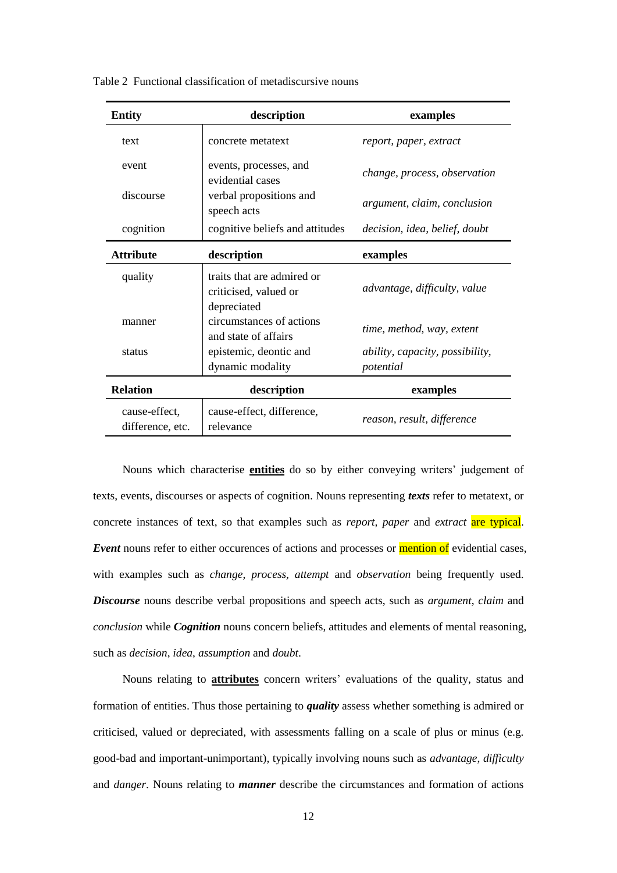| description<br><b>Entity</b>      |                                                                    | examples                                            |
|-----------------------------------|--------------------------------------------------------------------|-----------------------------------------------------|
| text                              | concrete metatext                                                  | report, paper, extract                              |
| event                             | events, processes, and<br>evidential cases                         | change, process, observation                        |
| discourse                         | verbal propositions and<br>speech acts                             | argument, claim, conclusion                         |
| cognition                         | cognitive beliefs and attitudes                                    | decision, idea, belief, doubt                       |
| <b>Attribute</b>                  | description                                                        | examples                                            |
| quality                           | traits that are admired or<br>criticised, valued or<br>depreciated | advantage, difficulty, value                        |
| manner                            | circumstances of actions<br>and state of affairs                   | time, method, way, extent                           |
| status                            | epistemic, deontic and<br>dynamic modality                         | <i>ability, capacity, possibility,</i><br>potential |
| <b>Relation</b>                   | description                                                        | examples                                            |
| cause-effect,<br>difference, etc. | cause-effect, difference,<br>relevance                             | reason, result, difference                          |

Table 2 Functional classification of metadiscursive nouns

Nouns which characterise **entities** do so by either conveying writers' judgement of texts, events, discourses or aspects of cognition. Nouns representing *texts* refer to metatext, or concrete instances of text, so that examples such as *report, paper* and *extract* are typical. **Event** nouns refer to either occurences of actions and processes or **mention of** evidential cases, with examples such as *change*, *process, attempt* and *observation* being frequently used. *Discourse* nouns describe verbal propositions and speech acts, such as *argument*, *claim* and *conclusion* while *Cognition* nouns concern beliefs, attitudes and elements of mental reasoning, such as *decision*, *idea*, *assumption* and *doubt*.

Nouns relating to **attributes** concern writers' evaluations of the quality, status and formation of entities. Thus those pertaining to *quality* assess whether something is admired or criticised, valued or depreciated, with assessments falling on a scale of plus or minus (e.g. good-bad and important-unimportant), typically involving nouns such as *advantage*, *difficulty* and *danger*. Nouns relating to *manner* describe the circumstances and formation of actions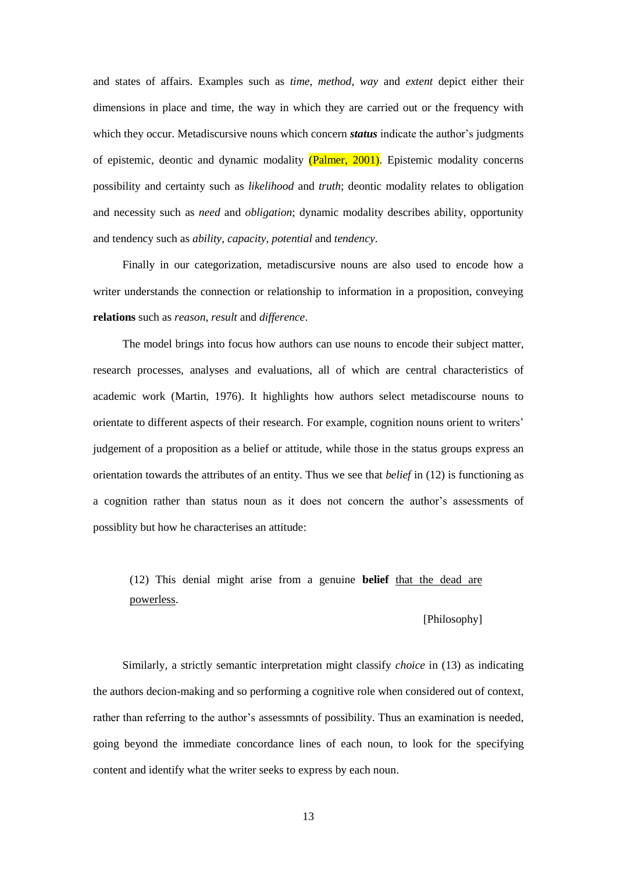and states of affairs. Examples such as *time*, *method*, *way* and *extent* depict either their dimensions in place and time, the way in which they are carried out or the frequency with which they occur. Metadiscursive nouns which concern *status* indicate the author's judgments of epistemic, deontic and dynamic modality (Palmer, 2001). Epistemic modality concerns possibility and certainty such as *likelihood* and *truth*; deontic modality relates to obligation and necessity such as *need* and *obligation*; dynamic modality describes ability, opportunity and tendency such as *ability*, *capacity*, *potential* and *tendency*.

Finally in our categorization, metadiscursive nouns are also used to encode how a writer understands the connection or relationship to information in a proposition, conveying **relations** such as *reason*, *result* and *difference*.

The model brings into focus how authors can use nouns to encode their subject matter, research processes, analyses and evaluations, all of which are central characteristics of academic work (Martin, 1976). It highlights how authors select metadiscourse nouns to orientate to different aspects of their research. For example, cognition nouns orient to writers' judgement of a proposition as a belief or attitude, while those in the status groups express an orientation towards the attributes of an entity. Thus we see that *belief* in (12) is functioning as a cognition rather than status noun as it does not concern the author's assessments of possiblity but how he characterises an attitude:

# (12) This denial might arise from a genuine **belief** that the dead are powerless.

## [Philosophy]

Similarly, a strictly semantic interpretation might classify *choice* in (13) as indicating the authors decion-making and so performing a cognitive role when considered out of context, rather than referring to the author's assessmnts of possibility. Thus an examination is needed, going beyond the immediate concordance lines of each noun, to look for the specifying content and identify what the writer seeks to express by each noun.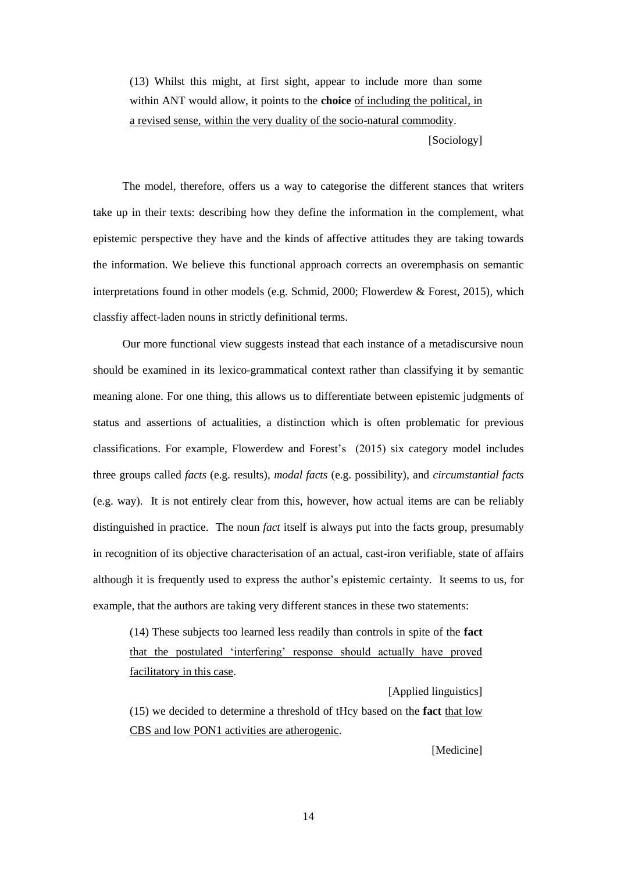(13) Whilst this might, at first sight, appear to include more than some within ANT would allow, it points to the **choice** of including the political, in a revised sense, within the very duality of the socio-natural commodity.

[Sociology]

The model, therefore, offers us a way to categorise the different stances that writers take up in their texts: describing how they define the information in the complement, what epistemic perspective they have and the kinds of affective attitudes they are taking towards the information. We believe this functional approach corrects an overemphasis on semantic interpretations found in other models (e.g. Schmid, 2000; Flowerdew & Forest, 2015), which classfiy affect-laden nouns in strictly definitional terms.

Our more functional view suggests instead that each instance of a metadiscursive noun should be examined in its lexico-grammatical context rather than classifying it by semantic meaning alone. For one thing, this allows us to differentiate between epistemic judgments of status and assertions of actualities, a distinction which is often problematic for previous classifications. For example, Flowerdew and Forest's (2015) six category model includes three groups called *facts* (e.g. results), *modal facts* (e.g. possibility), and *circumstantial facts* (e.g. way). It is not entirely clear from this, however, how actual items are can be reliably distinguished in practice. The noun *fact* itself is always put into the facts group, presumably in recognition of its objective characterisation of an actual, cast-iron verifiable, state of affairs although it is frequently used to express the author's epistemic certainty. It seems to us, for example, that the authors are taking very different stances in these two statements:

(14) These subjects too learned less readily than controls in spite of the **fact** that the postulated 'interfering' response should actually have proved facilitatory in this case.

[Applied linguistics] (15) we decided to determine a threshold of tHcy based on the **fact** that low CBS and low PON1 activities are atherogenic.

[Medicine]

14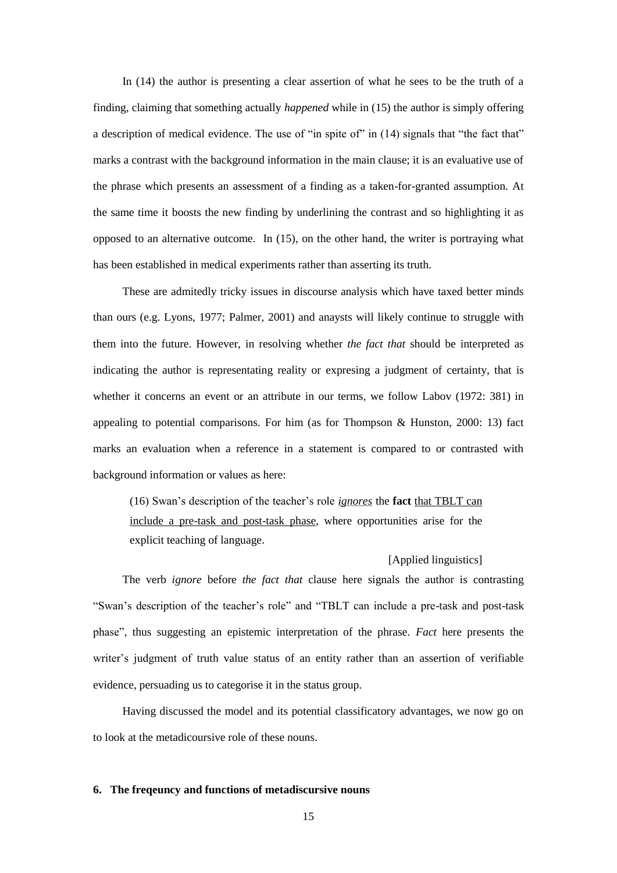In (14) the author is presenting a clear assertion of what he sees to be the truth of a finding, claiming that something actually *happened* while in (15) the author is simply offering a description of medical evidence. The use of "in spite of" in (14) signals that "the fact that" marks a contrast with the background information in the main clause; it is an evaluative use of the phrase which presents an assessment of a finding as a taken-for-granted assumption. At the same time it boosts the new finding by underlining the contrast and so highlighting it as opposed to an alternative outcome. In (15), on the other hand, the writer is portraying what has been established in medical experiments rather than asserting its truth.

These are admitedly tricky issues in discourse analysis which have taxed better minds than ours (e.g. Lyons, 1977; Palmer, 2001) and anaysts will likely continue to struggle with them into the future. However, in resolving whether *the fact that* should be interpreted as indicating the author is representating reality or expresing a judgment of certainty, that is whether it concerns an event or an attribute in our terms, we follow Labov (1972: 381) in appealing to potential comparisons. For him (as for Thompson & Hunston, 2000: 13) fact marks an evaluation when a reference in a statement is compared to or contrasted with background information or values as here:

(16) Swan's description of the teacher's role *ignores* the **fact** that TBLT can include a pre-task and post-task phase, where opportunities arise for the explicit teaching of language.

## [Applied linguistics]

The verb *ignore* before *the fact that* clause here signals the author is contrasting "Swan's description of the teacher's role" and "TBLT can include a pre-task and post-task phase", thus suggesting an epistemic interpretation of the phrase. *Fact* here presents the writer's judgment of truth value status of an entity rather than an assertion of verifiable evidence, persuading us to categorise it in the status group.

Having discussed the model and its potential classificatory advantages, we now go on to look at the metadicoursive role of these nouns.

### **6. The freqeuncy and functions of metadiscursive nouns**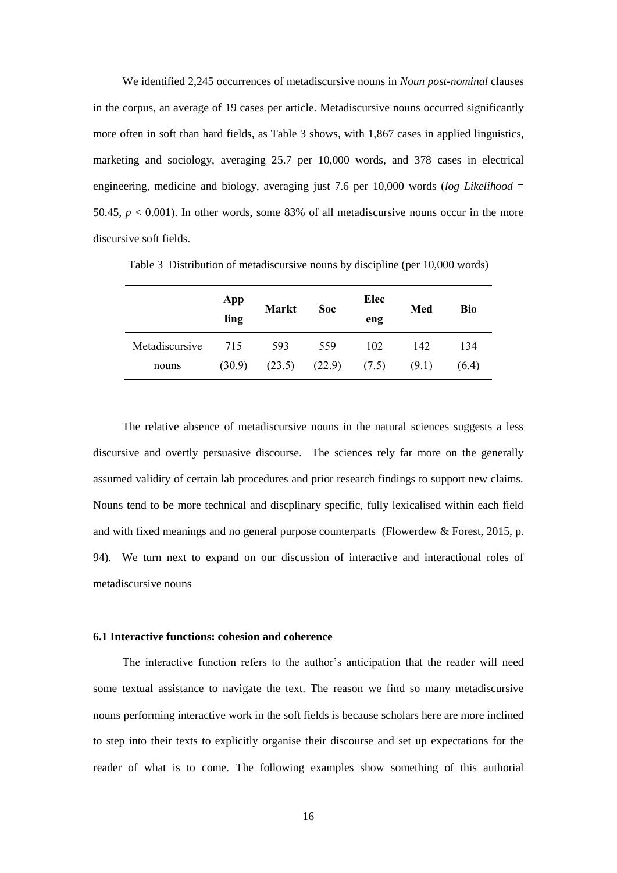We identified 2,245 occurrences of metadiscursive nouns in *Noun post-nominal* clauses in the corpus, an average of 19 cases per article. Metadiscursive nouns occurred significantly more often in soft than hard fields, as Table 3 shows, with 1,867 cases in applied linguistics, marketing and sociology, averaging 25.7 per 10,000 words, and 378 cases in electrical engineering, medicine and biology, averaging just 7.6 per 10,000 words (*log Likelihood* = 50.45,  $p < 0.001$ ). In other words, some 83% of all metadiscursive nouns occur in the more discursive soft fields.

|                | App<br>ling | <b>Markt</b> | <b>Soc</b> | Elec<br>eng | Med   | Bio   |
|----------------|-------------|--------------|------------|-------------|-------|-------|
| Metadiscursive | 715         | 593          | 559        | 102         | 142   | 134   |
| nouns          | (30.9)      | (23.5)       | (22.9)     | (7.5)       | (9.1) | (6.4) |

Table 3 Distribution of metadiscursive nouns by discipline (per 10,000 words)

The relative absence of metadiscursive nouns in the natural sciences suggests a less discursive and overtly persuasive discourse. The sciences rely far more on the generally assumed validity of certain lab procedures and prior research findings to support new claims. Nouns tend to be more technical and discplinary specific, fully lexicalised within each field and with fixed meanings and no general purpose counterparts (Flowerdew & Forest, 2015, p. 94). We turn next to expand on our discussion of interactive and interactional roles of metadiscursive nouns

# **6.1 Interactive functions: cohesion and coherence**

The interactive function refers to the author's anticipation that the reader will need some textual assistance to navigate the text. The reason we find so many metadiscursive nouns performing interactive work in the soft fields is because scholars here are more inclined to step into their texts to explicitly organise their discourse and set up expectations for the reader of what is to come. The following examples show something of this authorial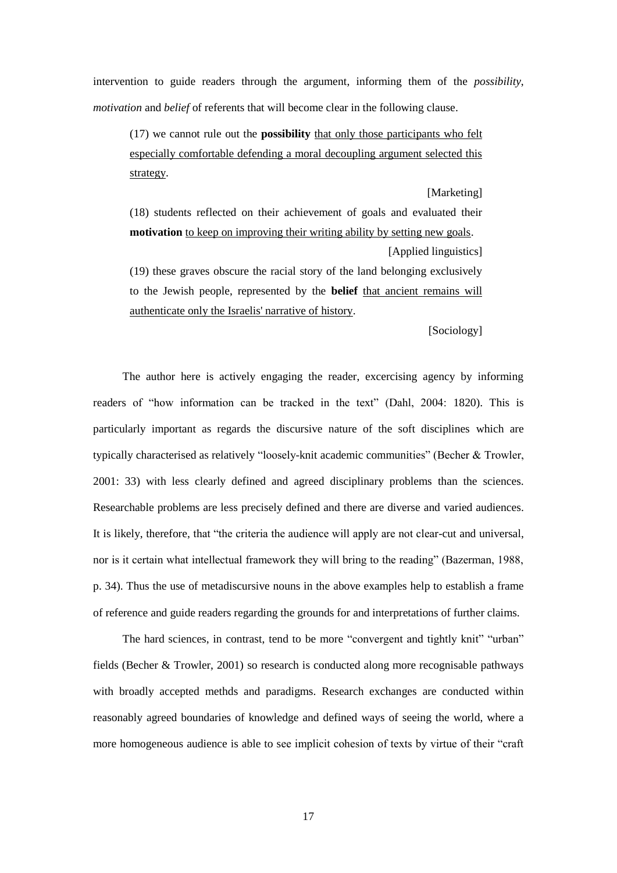intervention to guide readers through the argument, informing them of the *possibility*, *motivation* and *belief* of referents that will become clear in the following clause.

(17) we cannot rule out the **possibility** that only those participants who felt especially comfortable defending a moral decoupling argument selected this strategy.

[Marketing] (18) students reflected on their achievement of goals and evaluated their **motivation** to keep on improving their writing ability by setting new goals.

[Applied linguistics]

(19) these graves obscure the racial story of the land belonging exclusively to the Jewish people, represented by the **belief** that ancient remains will authenticate only the Israelis' narrative of history.

[Sociology]

The author here is actively engaging the reader, excercising agency by informing readers of "how information can be tracked in the text" (Dahl, 2004: 1820). This is particularly important as regards the discursive nature of the soft disciplines which are typically characterised as relatively "loosely-knit academic communities" (Becher & Trowler, 2001: 33) with less clearly defined and agreed disciplinary problems than the sciences. Researchable problems are less precisely defined and there are diverse and varied audiences. It is likely, therefore, that "the criteria the audience will apply are not clear-cut and universal, nor is it certain what intellectual framework they will bring to the reading" (Bazerman, 1988, p. 34). Thus the use of metadiscursive nouns in the above examples help to establish a frame of reference and guide readers regarding the grounds for and interpretations of further claims.

The hard sciences, in contrast, tend to be more "convergent and tightly knit" "urban" fields (Becher & Trowler, 2001) so research is conducted along more recognisable pathways with broadly accepted methds and paradigms. Research exchanges are conducted within reasonably agreed boundaries of knowledge and defined ways of seeing the world, where a more homogeneous audience is able to see implicit cohesion of texts by virtue of their "craft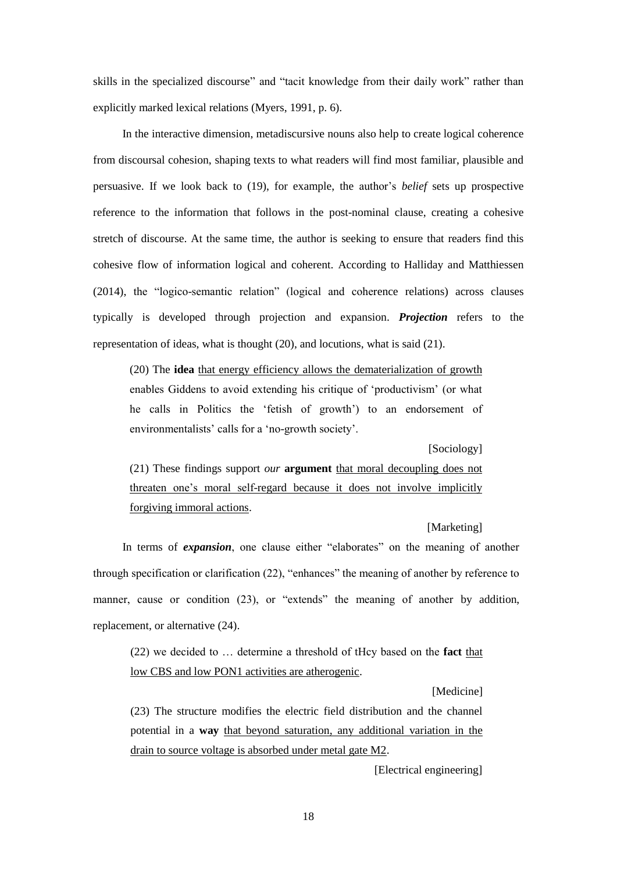skills in the specialized discourse" and "tacit knowledge from their daily work" rather than explicitly marked lexical relations (Myers, 1991, p. 6).

In the interactive dimension, metadiscursive nouns also help to create logical coherence from discoursal cohesion, shaping texts to what readers will find most familiar, plausible and persuasive. If we look back to (19), for example, the author's *belief* sets up prospective reference to the information that follows in the post-nominal clause, creating a cohesive stretch of discourse. At the same time, the author is seeking to ensure that readers find this cohesive flow of information logical and coherent. According to Halliday and Matthiessen (2014), the "logico-semantic relation" (logical and coherence relations) across clauses typically is developed through projection and expansion. *Projection* refers to the representation of ideas, what is thought (20), and locutions, what is said (21).

(20) The **idea** that energy efficiency allows the dematerialization of growth enables Giddens to avoid extending his critique of 'productivism' (or what he calls in Politics the 'fetish of growth') to an endorsement of environmentalists' calls for a 'no-growth society'.

[Sociology]

(21) These findings support *our* **argument** that moral decoupling does not threaten one's moral self-regard because it does not involve implicitly forgiving immoral actions.

## [Marketing]

In terms of *expansion*, one clause either "elaborates" on the meaning of another through specification or clarification (22), "enhances" the meaning of another by reference to manner, cause or condition (23), or "extends" the meaning of another by addition, replacement, or alternative (24).

(22) we decided to … determine a threshold of tHcy based on the **fact** that low CBS and low PON1 activities are atherogenic.

[Medicine]

(23) The structure modifies the electric field distribution and the channel potential in a **way** that beyond saturation, any additional variation in the drain to source voltage is absorbed under metal gate M2.

[Electrical engineering]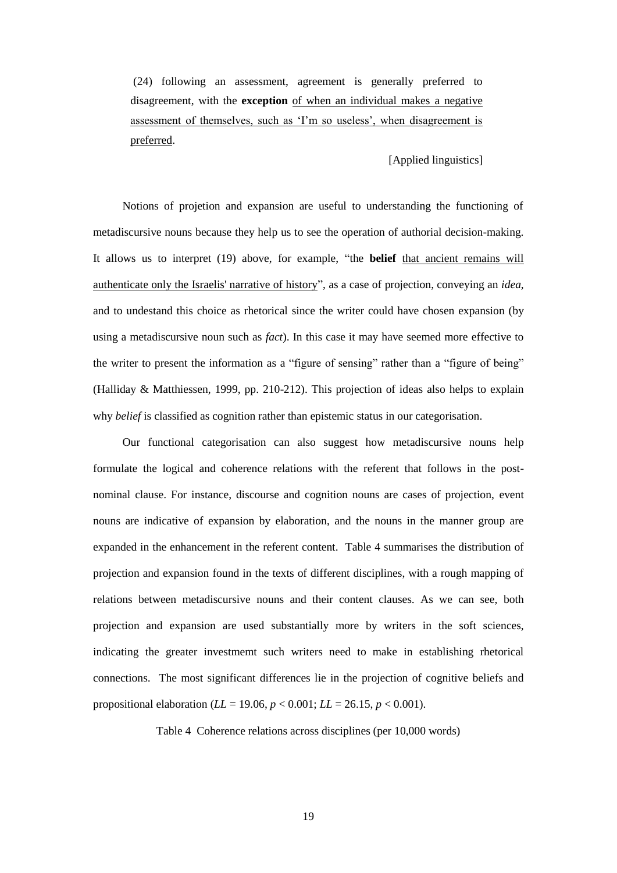(24) following an assessment, agreement is generally preferred to disagreement, with the **exception** of when an individual makes a negative assessment of themselves, such as 'I'm so useless', when disagreement is preferred.

# [Applied linguistics]

Notions of projetion and expansion are useful to understanding the functioning of metadiscursive nouns because they help us to see the operation of authorial decision-making. It allows us to interpret (19) above, for example, "the **belief** that ancient remains will authenticate only the Israelis' narrative of history", as a case of projection, conveying an *idea*, and to undestand this choice as rhetorical since the writer could have chosen expansion (by using a metadiscursive noun such as *fact*). In this case it may have seemed more effective to the writer to present the information as a "figure of sensing" rather than a "figure of being" (Halliday & Matthiessen, 1999, pp. 210-212). This projection of ideas also helps to explain why *belief* is classified as cognition rather than epistemic status in our categorisation.

Our functional categorisation can also suggest how metadiscursive nouns help formulate the logical and coherence relations with the referent that follows in the postnominal clause. For instance, discourse and cognition nouns are cases of projection, event nouns are indicative of expansion by elaboration, and the nouns in the manner group are expanded in the enhancement in the referent content. Table 4 summarises the distribution of projection and expansion found in the texts of different disciplines, with a rough mapping of relations between metadiscursive nouns and their content clauses. As we can see, both projection and expansion are used substantially more by writers in the soft sciences, indicating the greater investmemt such writers need to make in establishing rhetorical connections. The most significant differences lie in the projection of cognitive beliefs and propositional elaboration ( $LL = 19.06$ ,  $p < 0.001$ ;  $LL = 26.15$ ,  $p < 0.001$ ).

Table 4 Coherence relations across disciplines (per 10,000 words)

19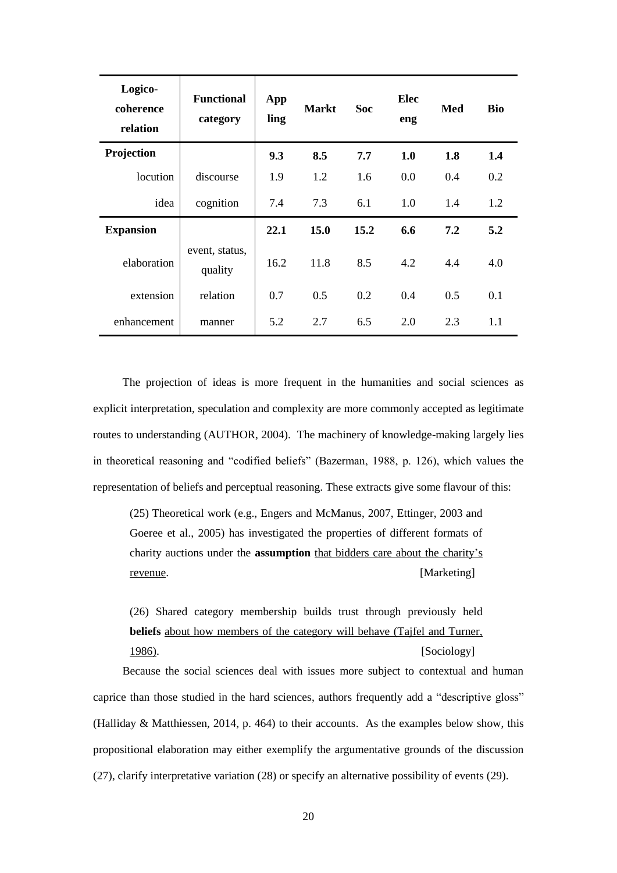| Logico-<br>coherence<br>relation | <b>Functional</b><br>category | App<br>ling | <b>Markt</b> | <b>Soc</b> | Elec<br>eng | Med | <b>Bio</b> |
|----------------------------------|-------------------------------|-------------|--------------|------------|-------------|-----|------------|
| Projection                       |                               | 9.3         | 8.5          | 7.7        | 1.0         | 1.8 | 1.4        |
| locution                         | discourse                     | 1.9         | 1.2          | 1.6        | 0.0         | 0.4 | 0.2        |
| idea                             | cognition                     | 7.4         | 7.3          | 6.1        | 1.0         | 1.4 | 1.2        |
| <b>Expansion</b>                 |                               | 22.1        | 15.0         | 15.2       | 6.6         | 7.2 | 5.2        |
| elaboration                      | event, status,<br>quality     | 16.2        | 11.8         | 8.5        | 4.2         | 4.4 | 4.0        |
| extension                        | relation                      | 0.7         | 0.5          | 0.2        | 0.4         | 0.5 | 0.1        |
| enhancement                      | manner                        | 5.2         | 2.7          | 6.5        | 2.0         | 2.3 | 1.1        |

The projection of ideas is more frequent in the humanities and social sciences as explicit interpretation, speculation and complexity are more commonly accepted as legitimate routes to understanding (AUTHOR, 2004). The machinery of knowledge-making largely lies in theoretical reasoning and "codified beliefs" (Bazerman, 1988, p. 126), which values the representation of beliefs and perceptual reasoning. These extracts give some flavour of this:

(25) Theoretical work (e.g., Engers and McManus, 2007, Ettinger, 2003 and Goeree et al., 2005) has investigated the properties of different formats of charity auctions under the **assumption** that bidders care about the charity's revenue. [Marketing]

(26) Shared category membership builds trust through previously held **beliefs** about how members of the category will behave (Tajfel and Turner, 1986). [Sociology]

Because the social sciences deal with issues more subject to contextual and human caprice than those studied in the hard sciences, authors frequently add a "descriptive gloss" (Halliday & Matthiessen, 2014, p. 464) to their accounts. As the examples below show, this propositional elaboration may either exemplify the argumentative grounds of the discussion (27), clarify interpretative variation (28) or specify an alternative possibility of events (29).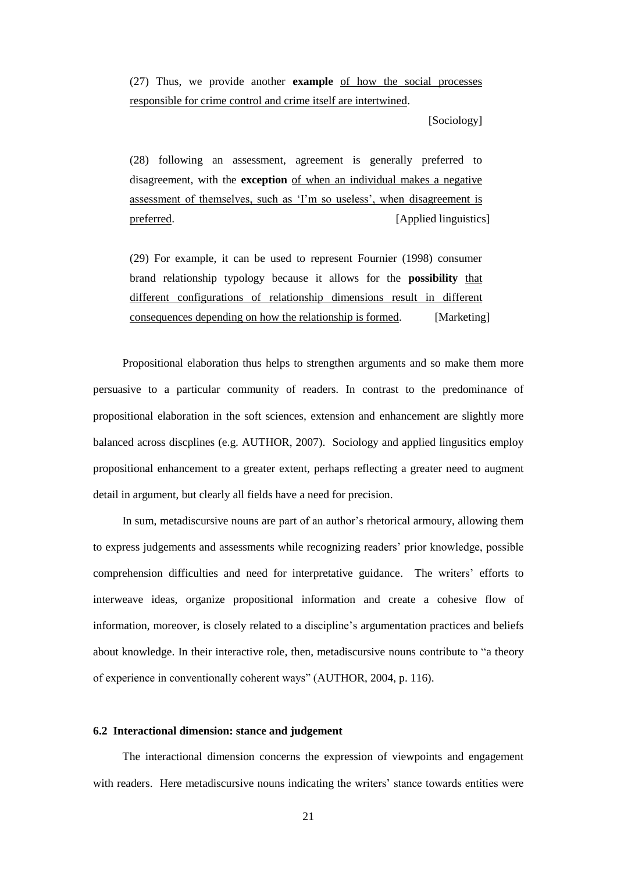(27) Thus, we provide another **example** of how the social processes responsible for crime control and crime itself are intertwined.

[Sociology]

(28) following an assessment, agreement is generally preferred to disagreement, with the **exception** of when an individual makes a negative assessment of themselves, such as 'I'm so useless', when disagreement is preferred. [Applied linguistics]

(29) For example, it can be used to represent Fournier (1998) consumer brand relationship typology because it allows for the **possibility** that different configurations of relationship dimensions result in different consequences depending on how the relationship is formed. [Marketing]

Propositional elaboration thus helps to strengthen arguments and so make them more persuasive to a particular community of readers. In contrast to the predominance of propositional elaboration in the soft sciences, extension and enhancement are slightly more balanced across discplines (e.g. AUTHOR, 2007). Sociology and applied lingusitics employ propositional enhancement to a greater extent, perhaps reflecting a greater need to augment detail in argument, but clearly all fields have a need for precision.

In sum, metadiscursive nouns are part of an author's rhetorical armoury, allowing them to express judgements and assessments while recognizing readers' prior knowledge, possible comprehension difficulties and need for interpretative guidance. The writers' efforts to interweave ideas, organize propositional information and create a cohesive flow of information, moreover, is closely related to a discipline's argumentation practices and beliefs about knowledge. In their interactive role, then, metadiscursive nouns contribute to "a theory of experience in conventionally coherent ways" (AUTHOR, 2004, p. 116).

# **6.2 Interactional dimension: stance and judgement**

The interactional dimension concerns the expression of viewpoints and engagement with readers. Here metadiscursive nouns indicating the writers' stance towards entities were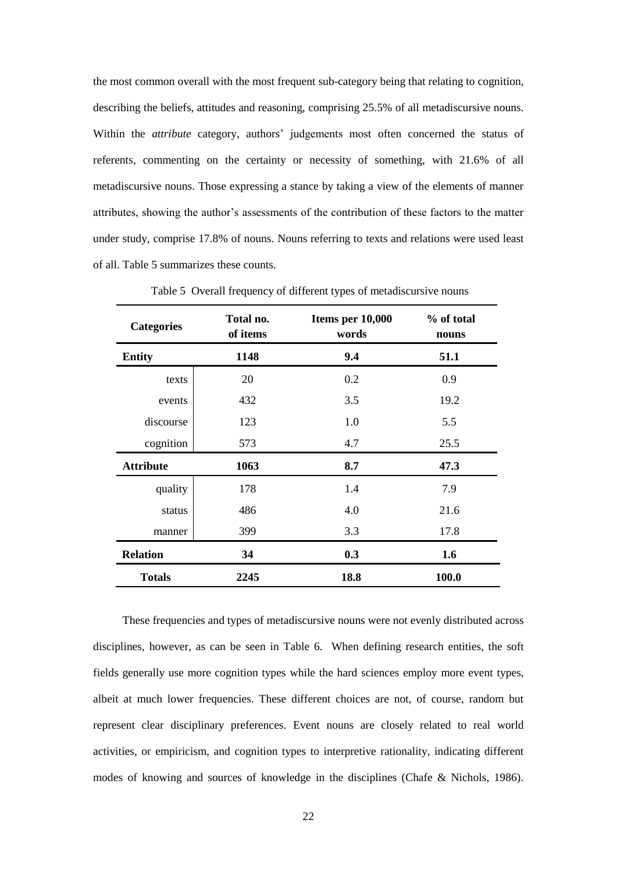the most common overall with the most frequent sub-category being that relating to cognition, describing the beliefs, attitudes and reasoning, comprising 25.5% of all metadiscursive nouns. Within the *attribute* category, authors' judgements most often concerned the status of referents, commenting on the certainty or necessity of something, with 21.6% of all metadiscursive nouns. Those expressing a stance by taking a view of the elements of manner attributes, showing the author's assessments of the contribution of these factors to the matter under study, comprise 17.8% of nouns. Nouns referring to texts and relations were used least of all. Table 5 summarizes these counts.

| <b>Categories</b> | Total no.<br>of items | Items per 10,000<br>words | % of total<br>nouns |  |
|-------------------|-----------------------|---------------------------|---------------------|--|
| <b>Entity</b>     | 1148                  | 9.4                       | 51.1                |  |
| texts             | 20                    | 0.2                       | 0.9                 |  |
| events            | 432                   | 3.5                       | 19.2                |  |
| discourse         | 123                   | 1.0                       | 5.5                 |  |
| cognition         | 573                   | 4.7                       | 25.5                |  |
| <b>Attribute</b>  | 1063                  | 8.7                       | 47.3                |  |
| quality           | 178                   | 1.4                       | 7.9                 |  |
| status            | 486                   | 4.0                       | 21.6                |  |
| manner            | 399                   | 3.3                       | 17.8                |  |
| <b>Relation</b>   | 34                    | 0.3                       | 1.6                 |  |
| <b>Totals</b>     | 2245                  | 18.8                      | 100.0               |  |

Table 5 Overall frequency of different types of metadiscursive nouns

These frequencies and types of metadiscursive nouns were not evenly distributed across disciplines, however, as can be seen in Table 6. When defining research entities, the soft fields generally use more cognition types while the hard sciences employ more event types, albeit at much lower frequencies. These different choices are not, of course, random but represent clear disciplinary preferences. Event nouns are closely related to real world activities, or empiricism, and cognition types to interpretive rationality, indicating different modes of knowing and sources of knowledge in the disciplines (Chafe & Nichols, 1986).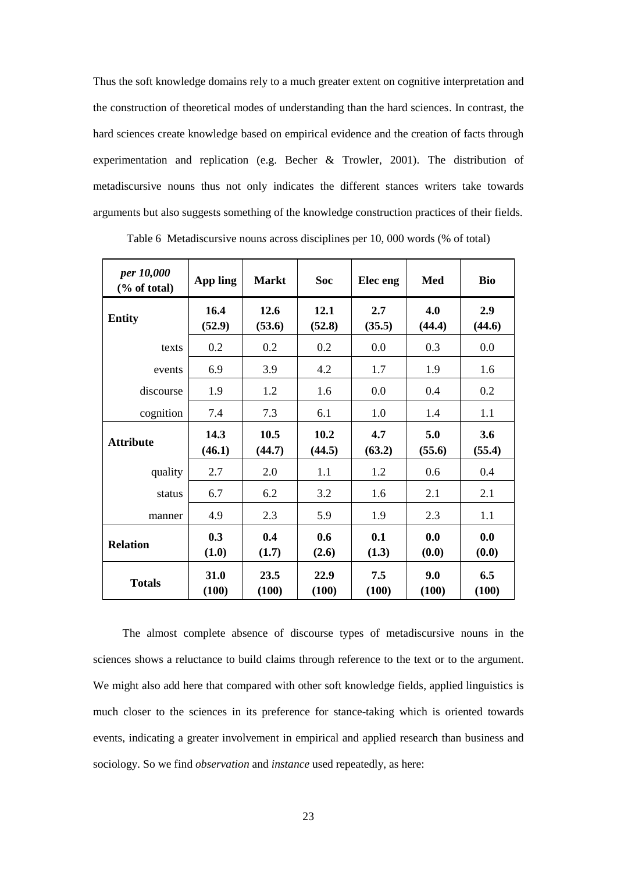Thus the soft knowledge domains rely to a much greater extent on cognitive interpretation and the construction of theoretical modes of understanding than the hard sciences. In contrast, the hard sciences create knowledge based on empirical evidence and the creation of facts through experimentation and replication (e.g. Becher & Trowler, 2001). The distribution of metadiscursive nouns thus not only indicates the different stances writers take towards arguments but also suggests something of the knowledge construction practices of their fields.

| per 10,000<br>$(\%$ of total) | <b>App ling</b> | <b>Markt</b>   | <b>Soc</b>     | Elec eng      | Med           | <b>Bio</b>    |
|-------------------------------|-----------------|----------------|----------------|---------------|---------------|---------------|
| <b>Entity</b>                 | 16.4<br>(52.9)  | 12.6<br>(53.6) | 12.1<br>(52.8) | 2.7<br>(35.5) | 4.0<br>(44.4) | 2.9<br>(44.6) |
| texts                         | 0.2             | 0.2            | 0.2            | 0.0           | 0.3           | 0.0           |
| events                        | 6.9             | 3.9            | 4.2            | 1.7           | 1.9           | 1.6           |
| discourse                     | 1.9             | 1.2            | 1.6            | 0.0           | 0.4           | 0.2           |
| cognition                     | 7.4             | 7.3            | 6.1            | 1.0           | 1.4           | 1.1           |
| <b>Attribute</b>              | 14.3<br>(46.1)  | 10.5<br>(44.7) | 10.2<br>(44.5) | 4.7<br>(63.2) | 5.0<br>(55.6) | 3.6<br>(55.4) |
| quality                       | 2.7             | 2.0            | 1.1            | 1.2           | 0.6           | 0.4           |
| status                        | 6.7             | 6.2            | 3.2            | 1.6           | 2.1           | 2.1           |
| manner                        | 4.9             | 2.3            | 5.9            | 1.9           | 2.3           | 1.1           |
| <b>Relation</b>               | 0.3<br>(1.0)    | 0.4<br>(1.7)   | 0.6<br>(2.6)   | 0.1<br>(1.3)  | 0.0<br>(0.0)  | 0.0<br>(0.0)  |
| <b>Totals</b>                 | 31.0<br>(100)   | 23.5<br>(100)  | 22.9<br>(100)  | 7.5<br>(100)  | 9.0<br>(100)  | 6.5<br>(100)  |

Table 6 Metadiscursive noun*s* across disciplines per 10, 000 words (% of total)

The almost complete absence of discourse types of metadiscursive nouns in the sciences shows a reluctance to build claims through reference to the text or to the argument. We might also add here that compared with other soft knowledge fields, applied linguistics is much closer to the sciences in its preference for stance-taking which is oriented towards events, indicating a greater involvement in empirical and applied research than business and sociology. So we find *observation* and *instance* used repeatedly, as here: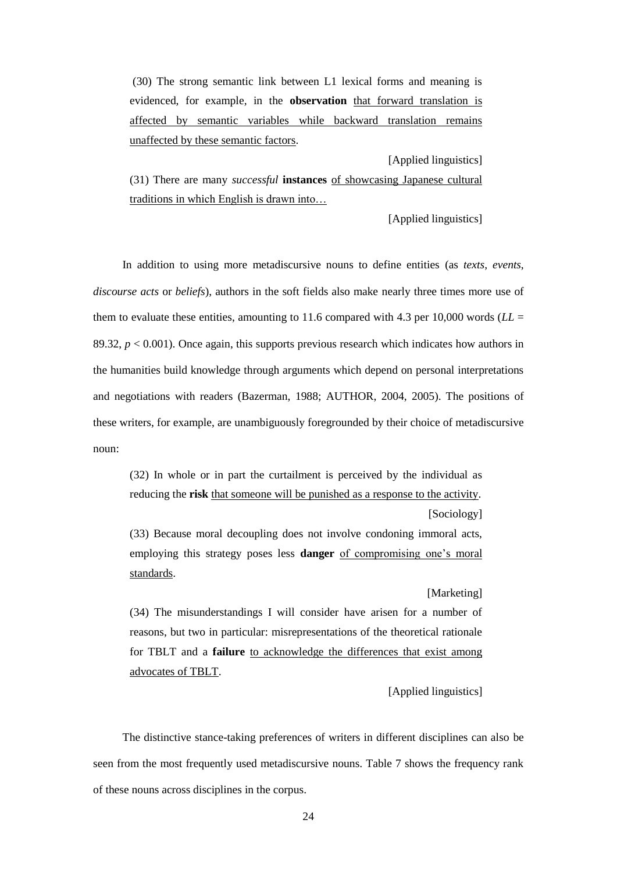(30) The strong semantic link between L1 lexical forms and meaning is evidenced, for example, in the **observation** that forward translation is affected by semantic variables while backward translation remains unaffected by these semantic factors.

[Applied linguistics]

(31) There are many *successful* **instances** of showcasing Japanese cultural traditions in which English is drawn into…

[Applied linguistics]

In addition to using more metadiscursive nouns to define entities (as *texts*, *events*, *discourse acts* or *beliefs*), authors in the soft fields also make nearly three times more use of them to evaluate these entities, amounting to 11.6 compared with 4.3 per 10,000 words ( $LL =$ 89.32,  $p < 0.001$ ). Once again, this supports previous research which indicates how authors in the humanities build knowledge through arguments which depend on personal interpretations and negotiations with readers (Bazerman, 1988; AUTHOR, 2004, 2005). The positions of these writers, for example, are unambiguously foregrounded by their choice of metadiscursive noun:

(32) In whole or in part the curtailment is perceived by the individual as reducing the **risk** that someone will be punished as a response to the activity.

(33) Because moral decoupling does not involve condoning immoral acts, employing this strategy poses less **danger** of compromising one's moral standards.

[Marketing]

[Sociology]

(34) The misunderstandings I will consider have arisen for a number of reasons, but two in particular: misrepresentations of the theoretical rationale for TBLT and a **failure** to acknowledge the differences that exist among advocates of TBLT.

[Applied linguistics]

The distinctive stance-taking preferences of writers in different disciplines can also be seen from the most frequently used metadiscursive nouns. Table 7 shows the frequency rank of these nouns across disciplines in the corpus.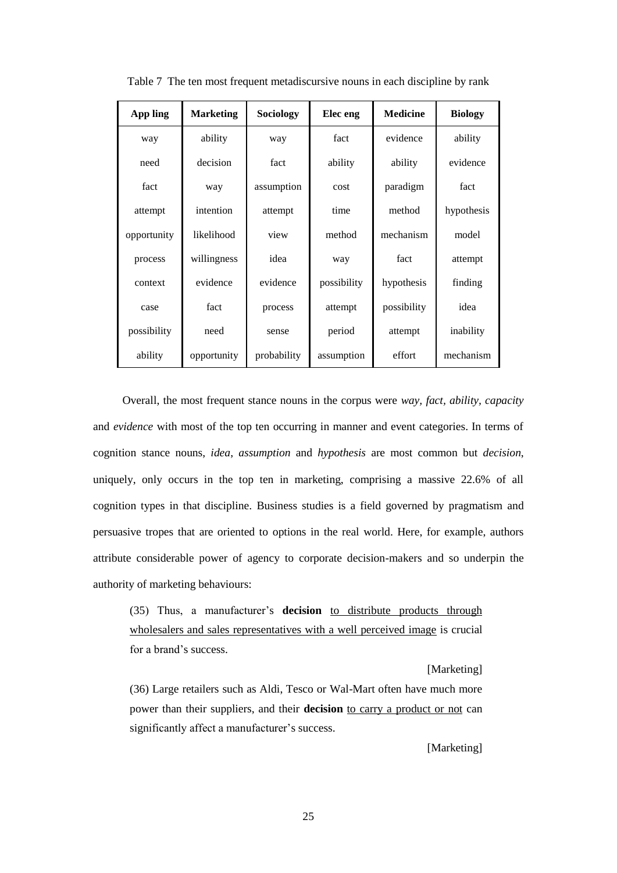| App ling    | <b>Marketing</b> | Sociology   | Elec eng    | <b>Medicine</b> | <b>Biology</b> |
|-------------|------------------|-------------|-------------|-----------------|----------------|
| way         | ability          | way         | fact        | evidence        | ability        |
| need        | decision         | fact        | ability     | ability         | evidence       |
| fact        | way              | assumption  | cost        | paradigm        | fact           |
| attempt     | intention        | attempt     | time        | method          | hypothesis     |
| opportunity | likelihood       | view        | method      | mechanism       | model          |
| process     | willingness      | idea        | way         | fact            | attempt        |
| context     | evidence         | evidence    | possibility | hypothesis      | finding        |
| case        | fact             | process     | attempt     | possibility     | idea           |
| possibility | need             | sense       | period      | attempt         | inability      |
| ability     | opportunity      | probability | assumption  | effort          | mechanism      |

Table 7 The ten most frequent metadiscursive nouns in each discipline by rank

Overall, the most frequent stance nouns in the corpus were *way, fact, ability, capacity* and *evidence* with most of the top ten occurring in manner and event categories. In terms of cognition stance nouns, *idea*, *assumption* and *hypothesis* are most common but *decision*, uniquely, only occurs in the top ten in marketing, comprising a massive 22.6% of all cognition types in that discipline. Business studies is a field governed by pragmatism and persuasive tropes that are oriented to options in the real world. Here, for example, authors attribute considerable power of agency to corporate decision-makers and so underpin the authority of marketing behaviours:

(35) Thus, a manufacturer's **decision** to distribute products through wholesalers and sales representatives with a well perceived image is crucial for a brand's success.

[Marketing]

(36) Large retailers such as Aldi, Tesco or Wal-Mart often have much more power than their suppliers, and their **decision** to carry a product or not can significantly affect a manufacturer's success.

[Marketing]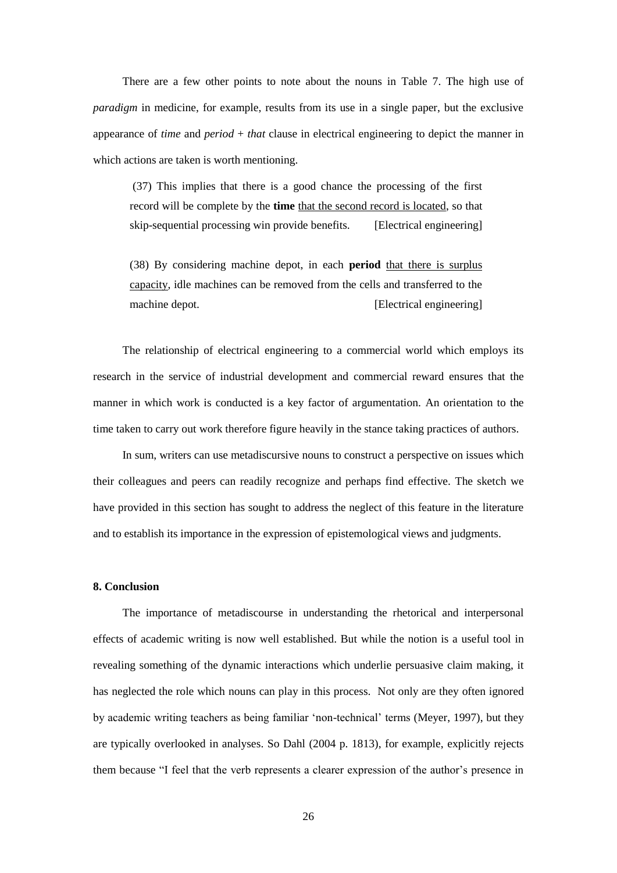There are a few other points to note about the nouns in Table 7. The high use of *paradigm* in medicine, for example, results from its use in a single paper, but the exclusive appearance of *time* and *period* + *that* clause in electrical engineering to depict the manner in which actions are taken is worth mentioning.

(37) This implies that there is a good chance the processing of the first record will be complete by the time that the second record is located, so that skip-sequential processing win provide benefits. [Electrical engineering]

(38) By considering machine depot, in each **period** that there is surplus capacity, idle machines can be removed from the cells and transferred to the machine depot. **[Electrical engineering]** 

The relationship of electrical engineering to a commercial world which employs its research in the service of industrial development and commercial reward ensures that the manner in which work is conducted is a key factor of argumentation. An orientation to the time taken to carry out work therefore figure heavily in the stance taking practices of authors.

In sum, writers can use metadiscursive nouns to construct a perspective on issues which their colleagues and peers can readily recognize and perhaps find effective. The sketch we have provided in this section has sought to address the neglect of this feature in the literature and to establish its importance in the expression of epistemological views and judgments.

## **8. Conclusion**

The importance of metadiscourse in understanding the rhetorical and interpersonal effects of academic writing is now well established. But while the notion is a useful tool in revealing something of the dynamic interactions which underlie persuasive claim making, it has neglected the role which nouns can play in this process. Not only are they often ignored by academic writing teachers as being familiar 'non-technical' terms (Meyer, 1997), but they are typically overlooked in analyses. So Dahl (2004 p. 1813), for example, explicitly rejects them because "I feel that the verb represents a clearer expression of the author's presence in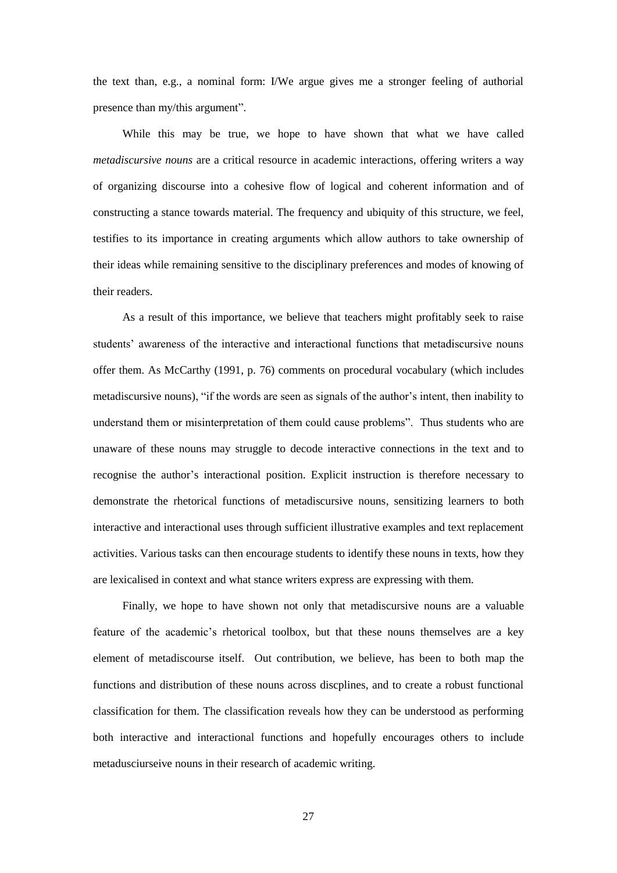the text than, e.g., a nominal form: I/We argue gives me a stronger feeling of authorial presence than my/this argument".

While this may be true, we hope to have shown that what we have called *metadiscursive nouns* are a critical resource in academic interactions, offering writers a way of organizing discourse into a cohesive flow of logical and coherent information and of constructing a stance towards material. The frequency and ubiquity of this structure, we feel, testifies to its importance in creating arguments which allow authors to take ownership of their ideas while remaining sensitive to the disciplinary preferences and modes of knowing of their readers.

As a result of this importance, we believe that teachers might profitably seek to raise students' awareness of the interactive and interactional functions that metadiscursive nouns offer them. As McCarthy (1991, p. 76) comments on procedural vocabulary (which includes metadiscursive nouns), "if the words are seen as signals of the author's intent, then inability to understand them or misinterpretation of them could cause problems". Thus students who are unaware of these nouns may struggle to decode interactive connections in the text and to recognise the author's interactional position. Explicit instruction is therefore necessary to demonstrate the rhetorical functions of metadiscursive nouns, sensitizing learners to both interactive and interactional uses through sufficient illustrative examples and text replacement activities. Various tasks can then encourage students to identify these nouns in texts, how they are lexicalised in context and what stance writers express are expressing with them.

Finally, we hope to have shown not only that metadiscursive nouns are a valuable feature of the academic's rhetorical toolbox, but that these nouns themselves are a key element of metadiscourse itself. Out contribution, we believe, has been to both map the functions and distribution of these nouns across discplines, and to create a robust functional classification for them. The classification reveals how they can be understood as performing both interactive and interactional functions and hopefully encourages others to include metadusciurseive nouns in their research of academic writing.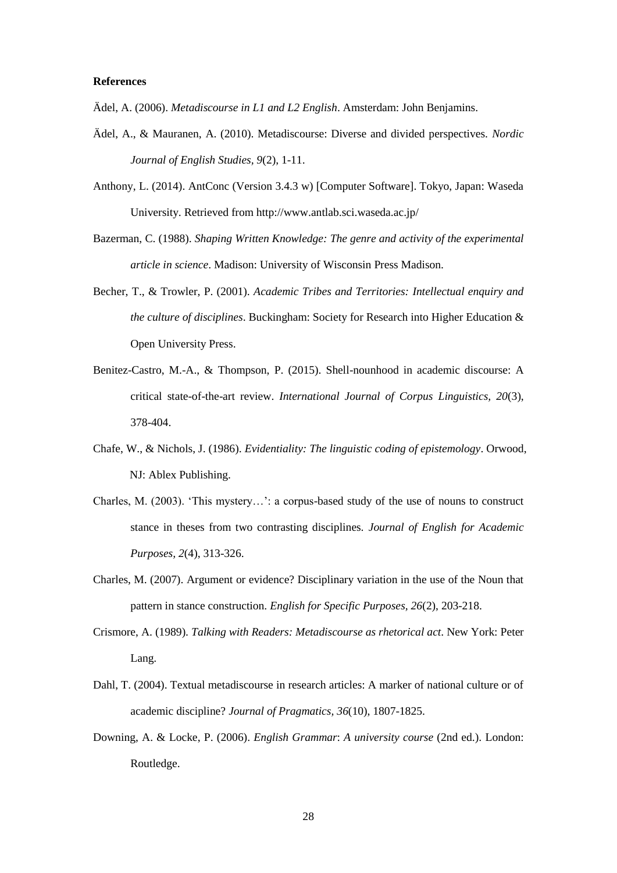## **References**

Ädel, A. (2006). *Metadiscourse in L1 and L2 English*. Amsterdam: John Benjamins.

- Ädel, A., & Mauranen, A. (2010). Metadiscourse: Diverse and divided perspectives. *Nordic Journal of English Studies, 9*(2), 1-11.
- Anthony, L. (2014). AntConc (Version 3.4.3 w) [Computer Software]. Tokyo, Japan: Waseda University. Retrieved from http://www.antlab.sci.waseda.ac.jp/
- Bazerman, C. (1988). *Shaping Written Knowledge: The genre and activity of the experimental article in science*. Madison: University of Wisconsin Press Madison.
- Becher, T., & Trowler, P. (2001). *Academic Tribes and Territories: Intellectual enquiry and the culture of disciplines*. Buckingham: Society for Research into Higher Education & Open University Press.
- Benitez-Castro, M.-A., & Thompson, P. (2015). Shell-nounhood in academic discourse: A critical state-of-the-art review. *International Journal of Corpus Linguistics, 20*(3), 378-404.
- Chafe, W., & Nichols, J. (1986). *Evidentiality: The linguistic coding of epistemology*. Orwood, NJ: Ablex Publishing.
- Charles, M. (2003). 'This mystery…': a corpus-based study of the use of nouns to construct stance in theses from two contrasting disciplines. *Journal of English for Academic Purposes, 2*(4), 313-326.
- Charles, M. (2007). Argument or evidence? Disciplinary variation in the use of the Noun that pattern in stance construction. *English for Specific Purposes, 26*(2), 203-218.
- Crismore, A. (1989). *Talking with Readers: Metadiscourse as rhetorical act*. New York: Peter Lang.
- Dahl, T. (2004). Textual metadiscourse in research articles: A marker of national culture or of academic discipline? *Journal of Pragmatics, 36*(10), 1807-1825.
- Downing, A. & Locke, P. (2006). *English Grammar*: *A university course* (2nd ed.). London: Routledge.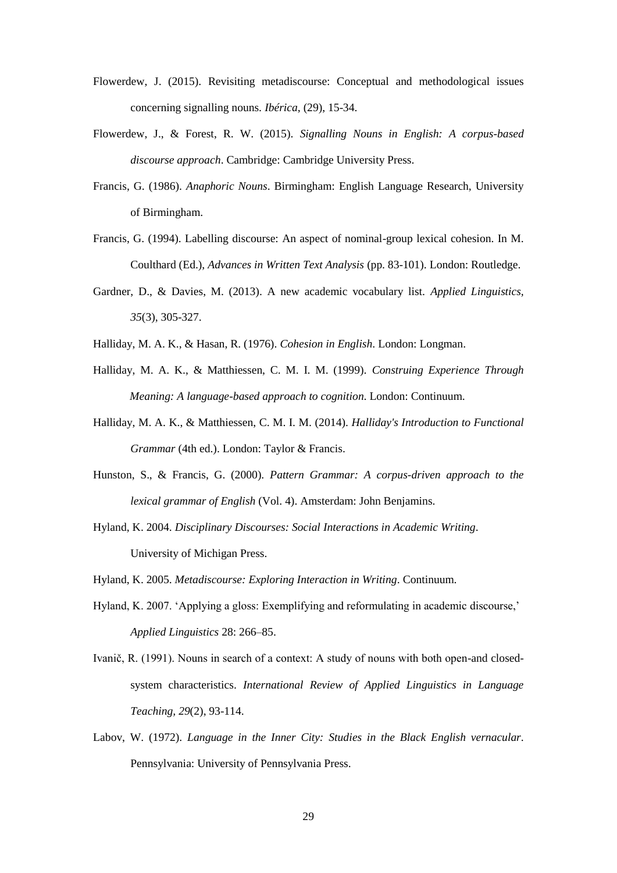- Flowerdew, J. (2015). Revisiting metadiscourse: Conceptual and methodological issues concerning signalling nouns. *Ibérica,* (29), 15-34.
- Flowerdew, J., & Forest, R. W. (2015). *Signalling Nouns in English: A corpus-based discourse approach*. Cambridge: Cambridge University Press.
- Francis, G. (1986). *Anaphoric Nouns*. Birmingham: English Language Research, University of Birmingham.
- Francis, G. (1994). Labelling discourse: An aspect of nominal-group lexical cohesion. In M. Coulthard (Ed.), *Advances in Written Text Analysis* (pp. 83-101). London: Routledge.
- Gardner, D., & Davies, M. (2013). A new academic vocabulary list. *Applied Linguistics, 35*(3), 305-327.
- Halliday, M. A. K., & Hasan, R. (1976). *Cohesion in English*. London: Longman.
- Halliday, M. A. K., & Matthiessen, C. M. I. M. (1999). *Construing Experience Through Meaning: A language-based approach to cognition*. London: Continuum.
- Halliday, M. A. K., & Matthiessen, C. M. I. M. (2014). *Halliday's Introduction to Functional Grammar* (4th ed.). London: Taylor & Francis.
- Hunston, S., & Francis, G. (2000). *Pattern Grammar: A corpus-driven approach to the lexical grammar of English* (Vol. 4). Amsterdam: John Benjamins.
- Hyland, K. 2004. *Disciplinary Discourses: Social Interactions in Academic Writing*. University of Michigan Press.
- Hyland, K. 2005. *Metadiscourse: Exploring Interaction in Writing*. Continuum.
- Hyland, K. 2007. 'Applying a gloss: Exemplifying and reformulating in academic discourse,' *Applied Linguistics* 28: 266–85.
- Ivanič, R. (1991). Nouns in search of a context: A study of nouns with both open-and closedsystem characteristics. *International Review of Applied Linguistics in Language Teaching, 29*(2), 93-114.
- Labov, W. (1972). *Language in the Inner City: Studies in the Black English vernacular*. Pennsylvania: University of Pennsylvania Press.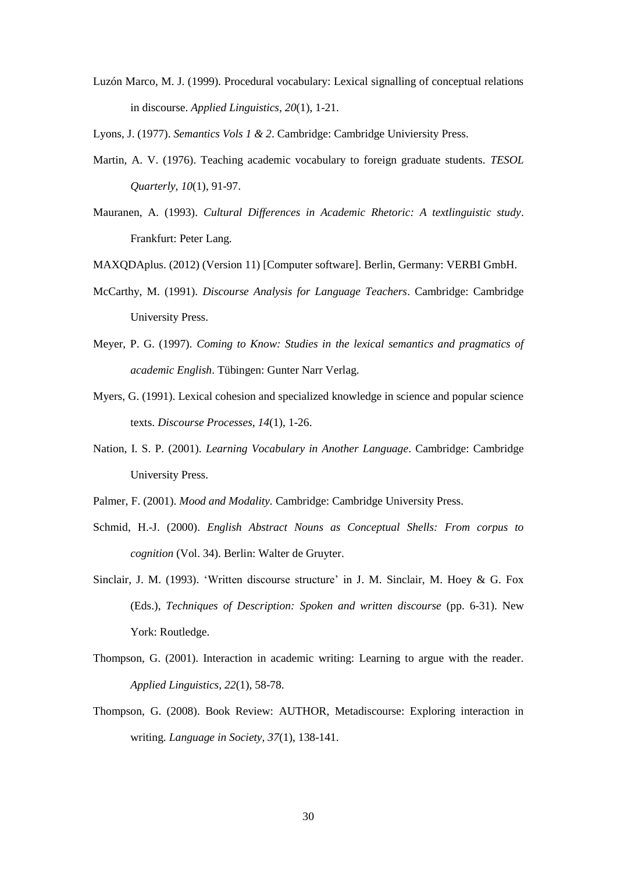- Luzón Marco, M. J. (1999). Procedural vocabulary: Lexical signalling of conceptual relations in discourse. *Applied Linguistics, 20*(1), 1-21.
- Lyons, J. (1977). *Semantics Vols 1 & 2*. Cambridge: Cambridge Univiersity Press.
- Martin, A. V. (1976). Teaching academic vocabulary to foreign graduate students. *TESOL Quarterly, 10*(1), 91-97.
- Mauranen, A. (1993). *Cultural Differences in Academic Rhetoric: A textlinguistic study*. Frankfurt: Peter Lang.
- MAXQDAplus. (2012) (Version 11) [Computer software]. Berlin, Germany: VERBI GmbH.
- McCarthy, M. (1991). *Discourse Analysis for Language Teachers*. Cambridge: Cambridge University Press.
- Meyer, P. G. (1997). *Coming to Know: Studies in the lexical semantics and pragmatics of academic English*. Tübingen: Gunter Narr Verlag.
- Myers, G. (1991). Lexical cohesion and specialized knowledge in science and popular science texts. *Discourse Processes, 14*(1), 1-26.
- Nation, I. S. P. (2001). *Learning Vocabulary in Another Language*. Cambridge: Cambridge University Press.
- Palmer, F. (2001). *Mood and Modality.* Cambridge: Cambridge University Press.
- Schmid, H.-J. (2000). *English Abstract Nouns as Conceptual Shells: From corpus to cognition* (Vol. 34). Berlin: Walter de Gruyter.
- Sinclair, J. M. (1993). 'Written discourse structure' in J. M. Sinclair, M. Hoey & G. Fox (Eds.), *Techniques of Description: Spoken and written discourse* (pp. 6-31). New York: Routledge.
- Thompson, G. (2001). Interaction in academic writing: Learning to argue with the reader. *Applied Linguistics, 22*(1), 58-78.
- Thompson, G. (2008). Book Review: AUTHOR, Metadiscourse: Exploring interaction in writing. *Language in Society, 37*(1), 138-141.